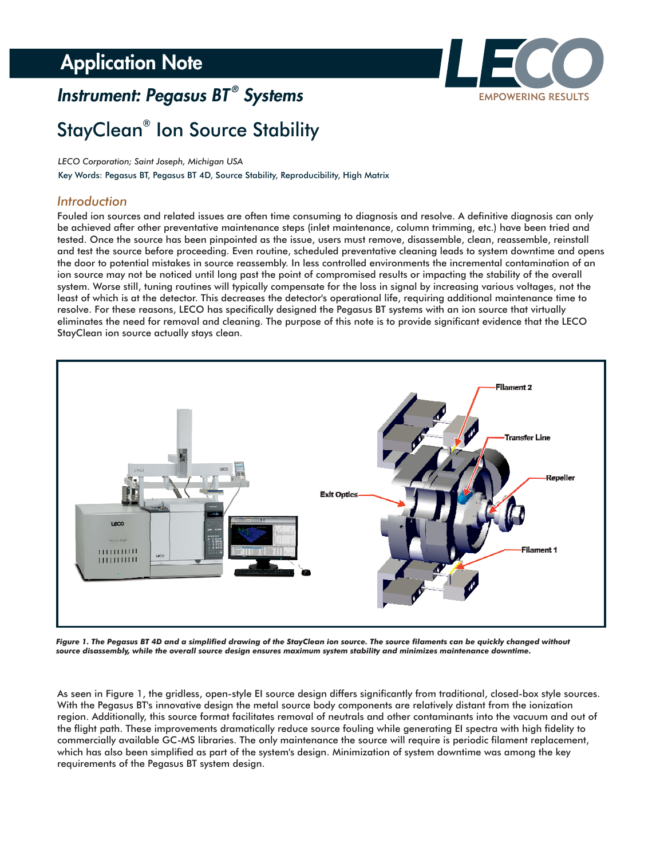## **Application Note**

# *Instrument: Pegasus BT Systems ®*



# StayClean<sup>®</sup> Ion Source Stability

*LECO Corporation; Saint Joseph, Michigan USA*

Key Words: Pegasus BT, Pegasus BT 4D, Source Stability, Reproducibility, High Matrix

### *Introduction*

Fouled ion sources and related issues are often time consuming to diagnosis and resolve. A definitive diagnosis can only be achieved after other preventative maintenance steps (inlet maintenance, column trimming, etc.) have been tried and tested. Once the source has been pinpointed as the issue, users must remove, disassemble, clean, reassemble, reinstall and test the source before proceeding. Even routine, scheduled preventative cleaning leads to system downtime and opens the door to potential mistakes in source reassembly. In less controlled environments the incremental contamination of an ion source may not be noticed until long past the point of compromised results or impacting the stability of the overall system. Worse still, tuning routines will typically compensate for the loss in signal by increasing various voltages, not the least of which is at the detector. This decreases the detector's operational life, requiring additional maintenance time to resolve. For these reasons, LECO has specifically designed the Pegasus BT systems with an ion source that virtually eliminates the need for removal and cleaning. The purpose of this note is to provide significant evidence that the LECO StayClean ion source actually stays clean.



*Figure 1. The Pegasus BT 4D and a simplified drawing of the StayClean ion source. The source filaments can be quickly changed without source disassembly, while the overall source design ensures maximum system stability and minimizes maintenance downtime.*

As seen in Figure 1, the gridless, open-style EI source design differs significantly from traditional, closed-box style sources. With the Pegasus BT's innovative design the metal source body components are relatively distant from the ionization region. Additionally, this source format facilitates removal of neutrals and other contaminants into the vacuum and out of the flight path. These improvements dramatically reduce source fouling while generating EI spectra with high fidelity to commercially available GC-MS libraries. The only maintenance the source will require is periodic filament replacement, which has also been simplified as part of the system's design. Minimization of system downtime was among the key requirements of the Pegasus BT system design.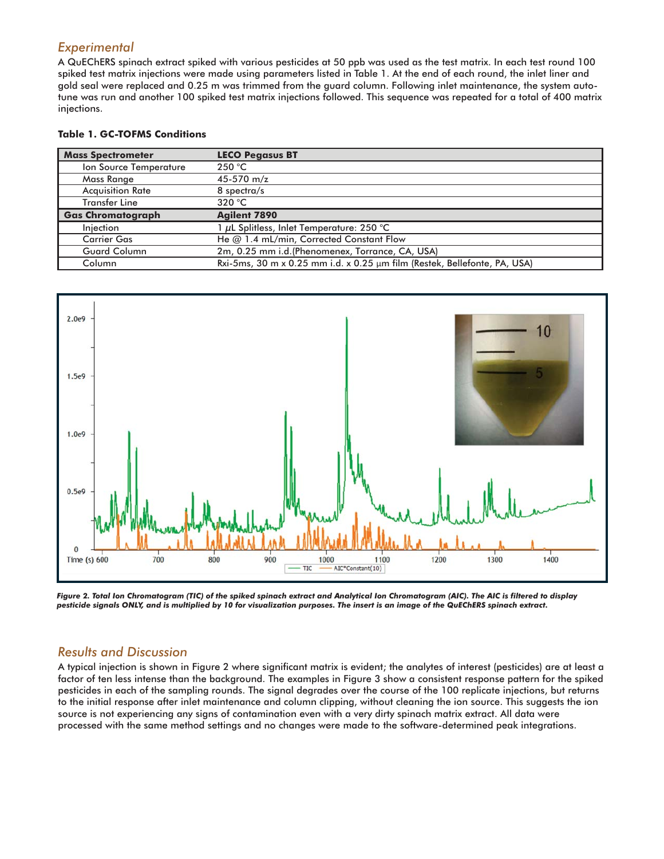## *Experimental*

A QuEChERS spinach extract spiked with various pesticides at 50 ppb was used as the test matrix. In each test round 100 spiked test matrix injections were made using parameters listed in Table 1. At the end of each round, the inlet liner and gold seal were replaced and 0.25 m was trimmed from the guard column. Following inlet maintenance, the system autotune was run and another 100 spiked test matrix injections followed. This sequence was repeated for a total of 400 matrix injections.

#### **Table 1. GC-TOFMS Conditions**

| <b>Mass Spectrometer</b> | <b>LECO Pegasus BT</b>                                                    |
|--------------------------|---------------------------------------------------------------------------|
| Ion Source Temperature   | 250 °C                                                                    |
| Mass Range               | 45-570 m/z                                                                |
| <b>Acquisition Rate</b>  | 8 spectra/s                                                               |
| <b>Transfer Line</b>     | 320 °C                                                                    |
| <b>Gas Chromatograph</b> | <b>Agilent 7890</b>                                                       |
| Injection                | 1 µL Splitless, Inlet Temperature: 250 °C                                 |
| <b>Carrier Gas</b>       | He @ 1.4 mL/min, Corrected Constant Flow                                  |
| <b>Guard Column</b>      | 2m, 0.25 mm i.d. (Phenomenex, Torrance, CA, USA)                          |
| Column                   | Rxi-5ms, 30 m x 0.25 mm i.d. x 0.25 µm film (Restek, Bellefonte, PA, USA) |



*Figure 2. Total Ion Chromatogram (TIC) of the spiked spinach extract and Analytical Ion Chromatogram (AIC). The AIC is filtered to display pesticide signals ONLY, and is multiplied by 10 for visualization purposes. The insert is an image of the QuEChERS spinach extract.*

### *Results and Discussion*

A typical injection is shown in Figure 2 where significant matrix is evident; the analytes of interest (pesticides) are at least a factor of ten less intense than the background. The examples in Figure 3 show a consistent response pattern for the spiked pesticides in each of the sampling rounds. The signal degrades over the course of the 100 replicate injections, but returns to the initial response after inlet maintenance and column clipping, without cleaning the ion source. This suggests the ion source is not experiencing any signs of contamination even with a very dirty spinach matrix extract. All data were processed with the same method settings and no changes were made to the software-determined peak integrations.